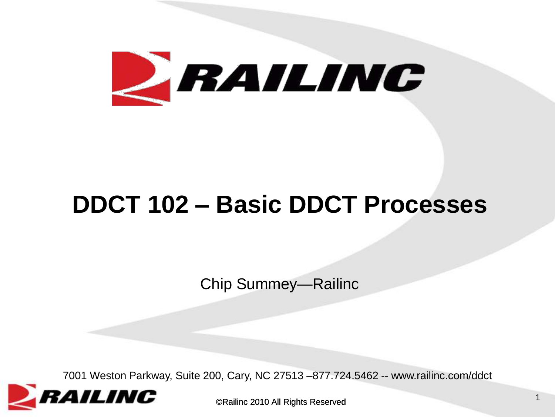

#### **DDCT 102 – Basic DDCT Processes**

Chip Summey—Railinc

7001 Weston Parkway, Suite 200, Cary, NC 27513 –877.724.5462 -- www.railinc.com/ddct

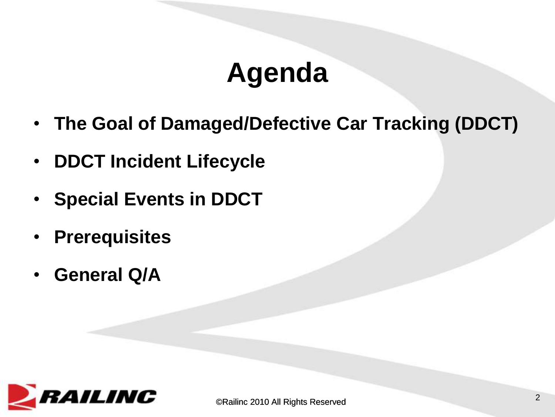### **Agenda**

- **The Goal of Damaged/Defective Car Tracking (DDCT)**
- **DDCT Incident Lifecycle**
- **Special Events in DDCT**
- **Prerequisites**
- **General Q/A**

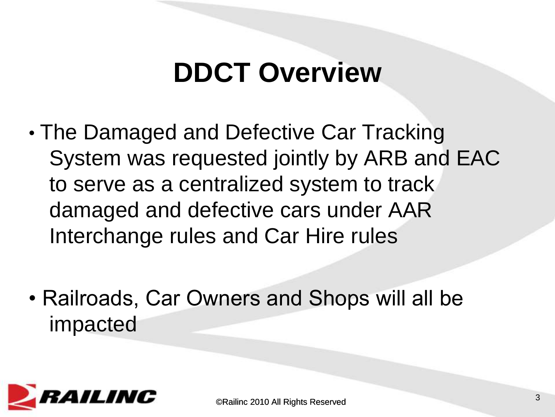#### **DDCT Overview**

- The Damaged and Defective Car Tracking System was requested jointly by ARB and EAC to serve as a centralized system to track damaged and defective cars under AAR Interchange rules and Car Hire rules
- Railroads, Car Owners and Shops will all be impacted

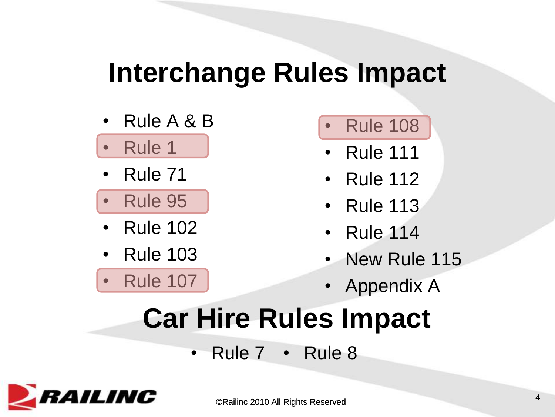#### **Interchange Rules Impact**

- Rule A & B
- Rule 1
- Rule 71
- Rule 95
- Rule 102
- Rule 103
- Rule 107
- Rule 108
- Rule 111
- Rule 112
- Rule 113
- Rule 114
- New Rule 115
- Appendix A

# **Car Hire Rules Impact**

• Rule 7 • Rule 8

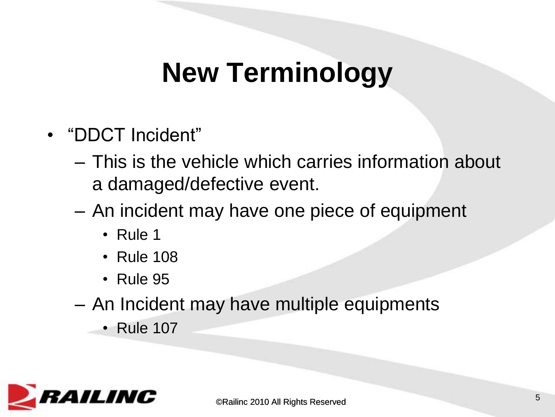### **New Terminology**

- "DDCT Incident"
	- This is the vehicle which carries information about a damaged/defective event.
	- An incident may have one piece of equipment
		- Rule 1
		- Rule 108
		- Rule 95
	- An Incident may have multiple equipments
		- Rule 107

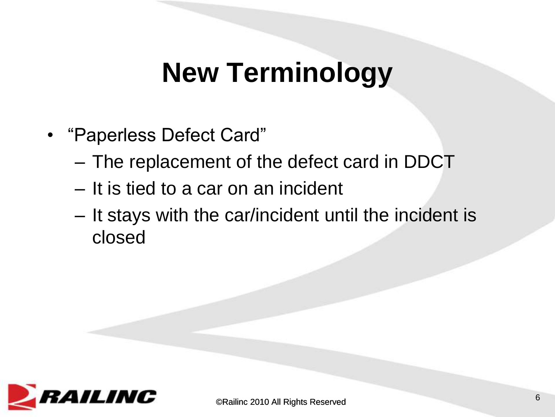#### **New Terminology**

- "Paperless Defect Card"
	- The replacement of the defect card in DDCT
	- It is tied to a car on an incident
	- It stays with the car/incident until the incident is closed

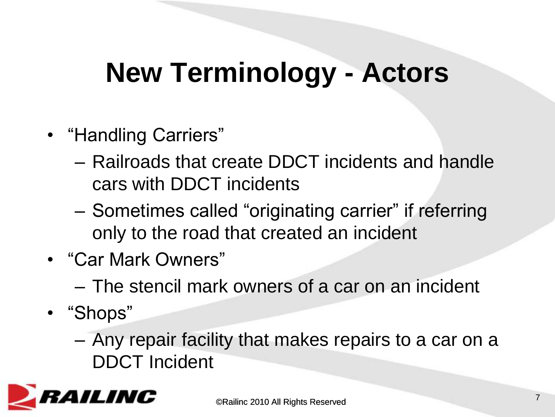### **New Terminology - Actors**

- "Handling Carriers"
	- Railroads that create DDCT incidents and handle cars with DDCT incidents
	- Sometimes called "originating carrier" if referring only to the road that created an incident
- "Car Mark Owners"
	- The stencil mark owners of a car on an incident
- "Shops"
	- Any repair facility that makes repairs to a car on a DDCT Incident

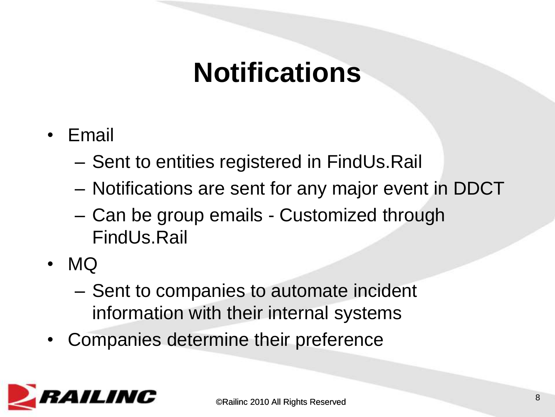#### **Notifications**

- Email
	- Sent to entities registered in FindUs.Rail
	- Notifications are sent for any major event in DDCT
	- Can be group emails Customized through FindUs.Rail
- MQ
	- Sent to companies to automate incident information with their internal systems
- Companies determine their preference

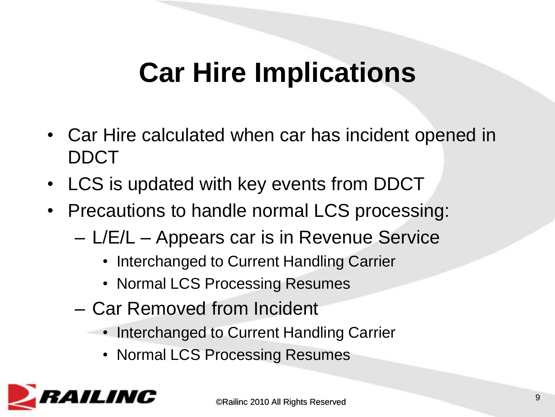### **Car Hire Implications**

- Car Hire calculated when car has incident opened in DDCT
- LCS is updated with key events from DDCT
- Precautions to handle normal LCS processing:
	- L/E/L Appears car is in Revenue Service
		- Interchanged to Current Handling Carrier
		- Normal LCS Processing Resumes
	- Car Removed from Incident
		- Interchanged to Current Handling Carrier
			- Normal LCS Processing Resumes

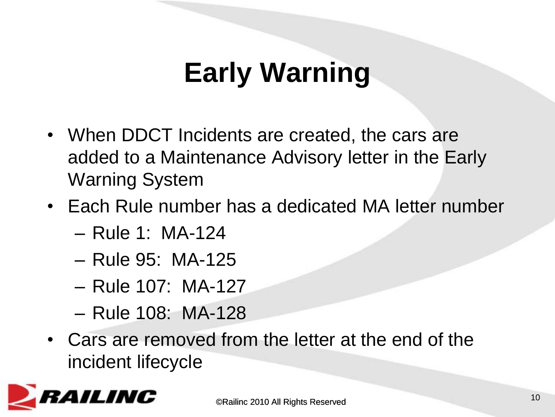# **Early Warning**

- When DDCT Incidents are created, the cars are added to a Maintenance Advisory letter in the Early Warning System
- Each Rule number has a dedicated MA letter number
	- Rule 1: MA-124
	- Rule 95: MA-125
	- Rule 107: MA-127
	- Rule 108: MA-128
- Cars are removed from the letter at the end of the incident lifecycle

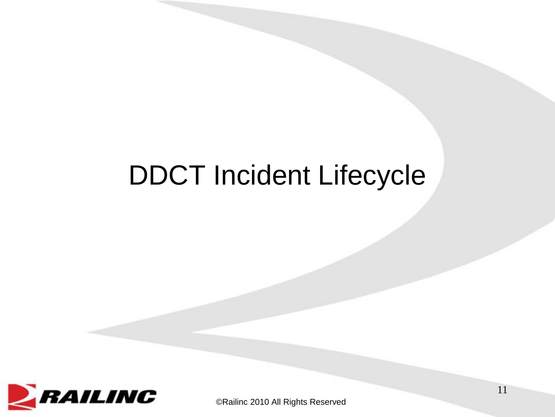#### DDCT Incident Lifecycle



©Railinc 2010 All Rights Reserved

11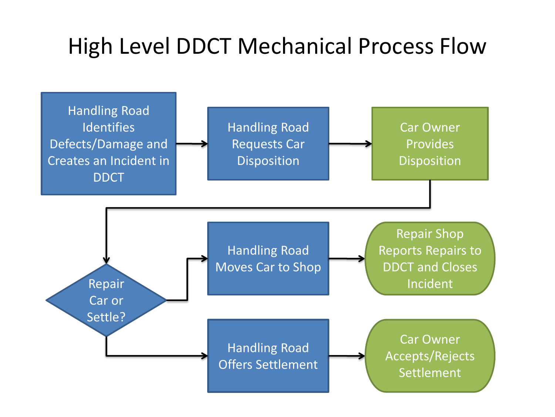#### High Level DDCT Mechanical Process Flow

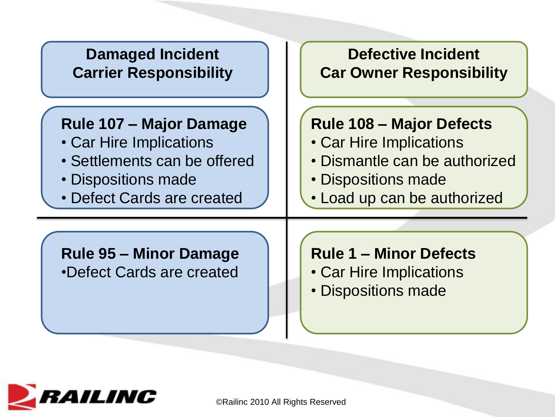

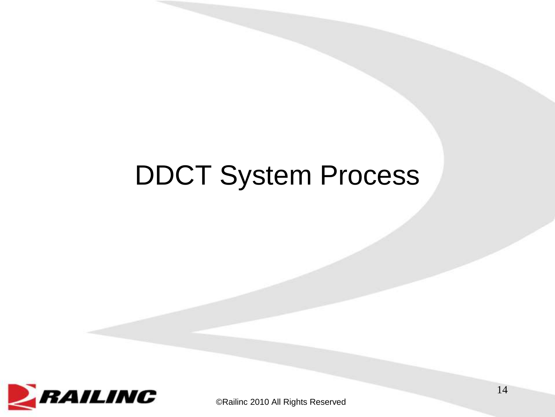#### DDCT System Process

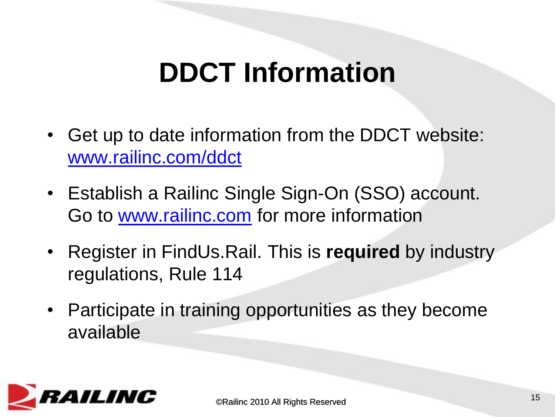### **DDCT Information**

- Get up to date information from the DDCT website: [www.railinc.com/ddct](http://www.railinc.com/ddct)
- Establish a Railinc Single Sign-On (SSO) account. Go to [www.railinc.com](http://www.railinc.com/) for more information
- Register in FindUs.Rail. This is **required** by industry regulations, Rule 114
- Participate in training opportunities as they become available

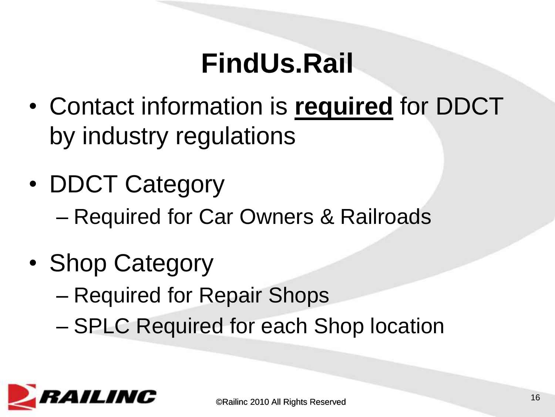### **FindUs.Rail**

- Contact information is **required** for DDCT by industry regulations
- DDCT Category – Required for Car Owners & Railroads
- Shop Category
	- Required for Repair Shops
	- SPLC Required for each Shop location

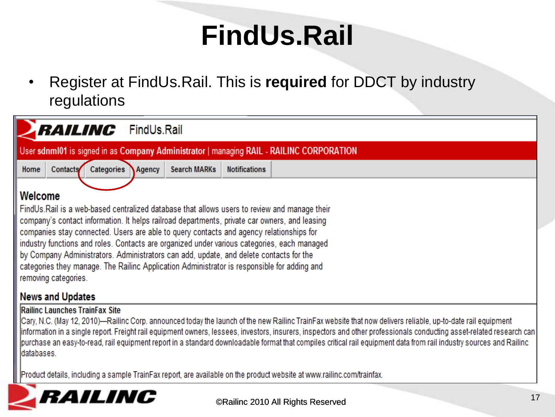## **FindUs.Rail**

• Register at FindUs.Rail. This is **required** for DDCT by industry regulations



Product details, including a sample TrainFax report, are available on the product website at www.railinc.com/trainfax.

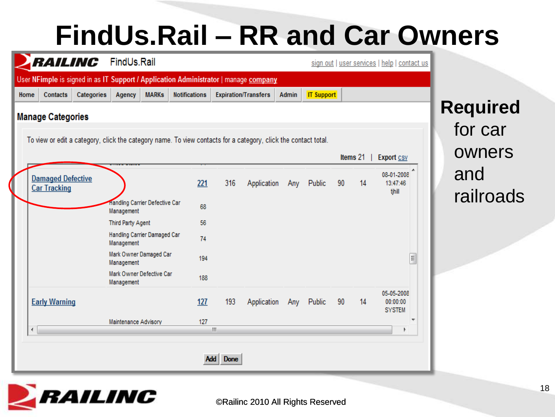#### **FindUs.Rail – RR and Car Owners**

|      | RAILING                                         |            | FindUs.Rail                                  |              |                                                                                                                |                           |                             |       |                   |    |          | sign out   user services   help   contact us |                  |
|------|-------------------------------------------------|------------|----------------------------------------------|--------------|----------------------------------------------------------------------------------------------------------------|---------------------------|-----------------------------|-------|-------------------|----|----------|----------------------------------------------|------------------|
|      |                                                 |            |                                              |              | User NFimple is signed in as IT Support / Application Administrator   manage company                           |                           |                             |       |                   |    |          |                                              |                  |
| Home | Contacts                                        | Categories | Agency                                       | <b>MARKs</b> | <b>Notifications</b>                                                                                           |                           | <b>Expiration/Transfers</b> | Admin | <b>IT Support</b> |    |          |                                              |                  |
|      | <b>Manage Categories</b>                        |            |                                              |              |                                                                                                                |                           |                             |       |                   |    |          |                                              | <b>Required</b>  |
|      |                                                 |            |                                              |              | To view or edit a category, click the category name. To view contacts for a category, click the contact total. |                           |                             |       |                   |    |          |                                              | for car          |
|      |                                                 |            |                                              |              |                                                                                                                |                           |                             |       |                   |    | Items 21 | <b>Export CSV</b>                            | owners           |
|      | <b>Damaged Defective</b><br><b>Car Tracking</b> |            |                                              |              | 221                                                                                                            | 316                       | Application                 |       | Any Public        | 90 | 14       | 08-01-2008<br>13:47:46<br>tjhill             | and<br>railroads |
|      |                                                 |            | Handling Carrier Defective Car<br>Management |              | 68                                                                                                             |                           |                             |       |                   |    |          |                                              |                  |
|      |                                                 |            | Third Party Agent                            |              | 56                                                                                                             |                           |                             |       |                   |    |          |                                              |                  |
|      |                                                 |            | Handling Carrier Damaged Car<br>Management   |              | 74                                                                                                             |                           |                             |       |                   |    |          |                                              |                  |
|      |                                                 |            | Mark Owner Damaged Car<br>Management         |              | 194                                                                                                            |                           |                             |       |                   |    |          | E                                            |                  |
|      |                                                 |            | Mark Owner Defective Car<br>Management       |              | 188                                                                                                            |                           |                             |       |                   |    |          |                                              |                  |
|      | <b>Early Warning</b>                            |            |                                              |              | 127                                                                                                            | 193                       | Application                 | Any   | Public            | 90 | 14       | 05-05-2008<br>00:00:00<br><b>SYSTEM</b>      |                  |
| ∢    |                                                 |            | Maintenance Advisory                         |              | 127                                                                                                            | $\mathbf{H}_1$            |                             |       |                   |    |          |                                              |                  |
|      |                                                 |            |                                              |              |                                                                                                                | <b>Done</b><br><b>Add</b> |                             |       |                   |    |          |                                              |                  |

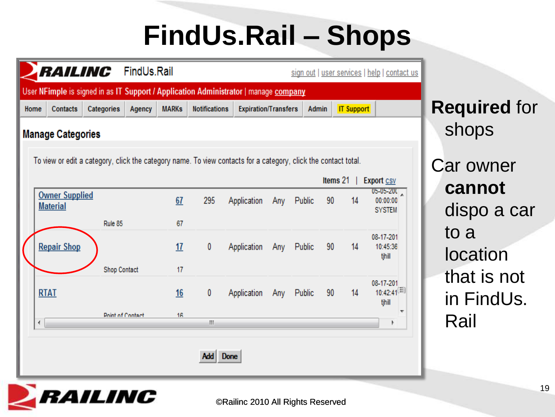# **FindUs.Rail – Shops**

|      | <i><b>RAILINC</b></i>                    |                     | FindUs.Rail |              |                                                                                                                |                             |     |        |    |                   | sign out   user services   help   contact us |                           |
|------|------------------------------------------|---------------------|-------------|--------------|----------------------------------------------------------------------------------------------------------------|-----------------------------|-----|--------|----|-------------------|----------------------------------------------|---------------------------|
|      |                                          |                     |             |              | User NFimple is signed in as IT Support / Application Administrator   manage <b>company</b>                    |                             |     |        |    |                   |                                              |                           |
| Home | Contacts                                 | Categories          | Agency      | <b>MARKs</b> | <b>Notifications</b>                                                                                           | <b>Expiration/Transfers</b> |     | Admin  |    | <b>IT Support</b> |                                              | <b>Required for</b>       |
|      | <b>Manage Categories</b>                 |                     |             |              |                                                                                                                |                             |     |        |    |                   |                                              | shops                     |
|      |                                          |                     |             |              | To view or edit a category, click the category name. To view contacts for a category, click the contact total. |                             |     |        |    |                   |                                              | <b>Car owner</b>          |
|      |                                          |                     |             |              |                                                                                                                |                             |     |        |    | Items $21$        | <b>Export CSV</b>                            | cannot                    |
|      | <b>Owner Supplied</b><br><b>Material</b> |                     |             | 67           | 295                                                                                                            | Application                 | Any | Public | 90 | 14                | $05 - 05 - 200$<br>00:00:00<br><b>SYSTEM</b> | dispo a car               |
|      |                                          | Rule 85             |             | 67           |                                                                                                                |                             |     |        |    |                   |                                              | to a                      |
|      | <b>Repair Shop</b>                       |                     |             | 17           | 0                                                                                                              | Application                 | Any | Public | 90 | 14                | 08-17-201<br>10:45:36                        | location                  |
|      |                                          |                     |             |              |                                                                                                                |                             |     |        |    |                   | tihill                                       |                           |
|      |                                          | <b>Shop Contact</b> |             | 17           |                                                                                                                |                             |     |        |    |                   |                                              |                           |
|      | <b>RTAT</b>                              |                     |             | 16           | 0                                                                                                              | Application                 | Any | Public | 90 | 14                | 08-17-201<br>$10:42:41^{[1]}$<br>tjhill      | that is not<br>in FindUs. |



for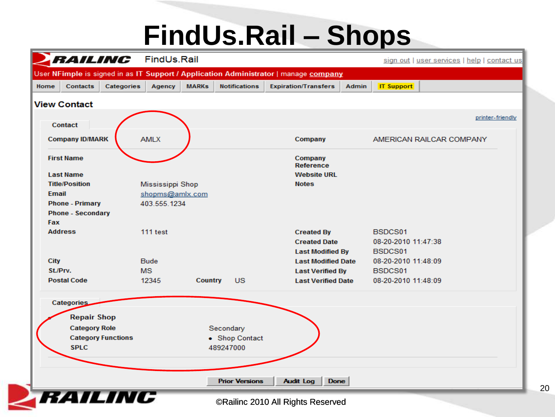#### **FindUs.Rail – Shops**



20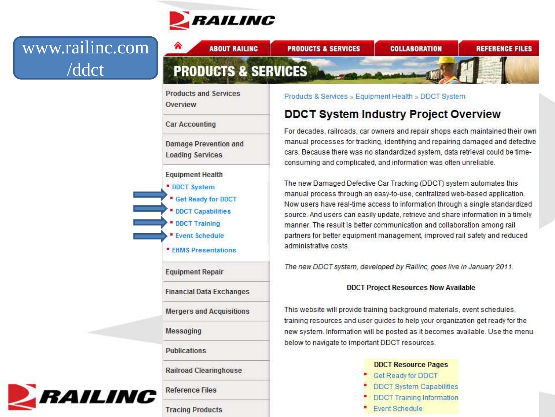

**ABOUT RAILING** 

⋒

#### www.railinc.com /ddct

| <b>Products and Services</b><br>Overview                                                                                                                                                 | Products & Services » Equipment Health » DDCT System                                                                                                                                                                                                                                                                                                                                                                                                                                                  |
|------------------------------------------------------------------------------------------------------------------------------------------------------------------------------------------|-------------------------------------------------------------------------------------------------------------------------------------------------------------------------------------------------------------------------------------------------------------------------------------------------------------------------------------------------------------------------------------------------------------------------------------------------------------------------------------------------------|
| <b>Car Accounting</b>                                                                                                                                                                    | <b>DDCT System Industry Project Overview</b>                                                                                                                                                                                                                                                                                                                                                                                                                                                          |
| <b>Damage Prevention and</b><br><b>Loading Services</b>                                                                                                                                  | For decades, railroads, car owners and repair shops each maintained their own<br>manual processes for tracking, identifying and repairing damaged and defective<br>cars. Because there was no standardized system, data retrieval could be time-<br>consuming and complicated, and information was often unreliable.                                                                                                                                                                                  |
| <b>Equipment Health</b><br><b>DDCT System</b><br><b>Get Ready for DDCT</b><br><b>• DDCT Capabilities</b><br><b>• DDCT Training</b><br><b>Event Schedule</b><br><b>EHMS Presentations</b> | The new Damaged Defective Car Tracking (DDCT) system automates this<br>manual process through an easy-to-use, centralized web-based application.<br>Now users have real-time access to information through a single standardized<br>source. And users can easily update, retrieve and share information in a timely<br>manner. The result is better communication and collaboration among rail<br>partners for better equipment management, improved rail safety and reduced<br>administrative costs. |
| <b>Equipment Repair</b>                                                                                                                                                                  | The new DDCT system, developed by Railinc, goes live in January 2011.                                                                                                                                                                                                                                                                                                                                                                                                                                 |
| <b>Financial Data Exchanges</b>                                                                                                                                                          | <b>DDCT Project Resources Now Available</b>                                                                                                                                                                                                                                                                                                                                                                                                                                                           |
| <b>Mergers and Acquisitions</b>                                                                                                                                                          | This website will provide training background materials, event schedules,                                                                                                                                                                                                                                                                                                                                                                                                                             |
| <b>Messaging</b>                                                                                                                                                                         | training resources and user guides to help your organization get ready for the<br>new system. Information will be posted as it becomes available. Use the menu                                                                                                                                                                                                                                                                                                                                        |
| <b>Publications</b>                                                                                                                                                                      | below to navigate to important DDCT resources.                                                                                                                                                                                                                                                                                                                                                                                                                                                        |
| <b>Railroad Clearinghouse</b>                                                                                                                                                            | <b>DDCT Resource Pages</b><br>Get Ready for DDCT                                                                                                                                                                                                                                                                                                                                                                                                                                                      |
|                                                                                                                                                                                          | <b>DDCT System Capabilities</b>                                                                                                                                                                                                                                                                                                                                                                                                                                                                       |

**PRODUCTS & SERVICES** 

**COLLABORATION** 

Event Schedule

٠

**REFERENCE FILES** 

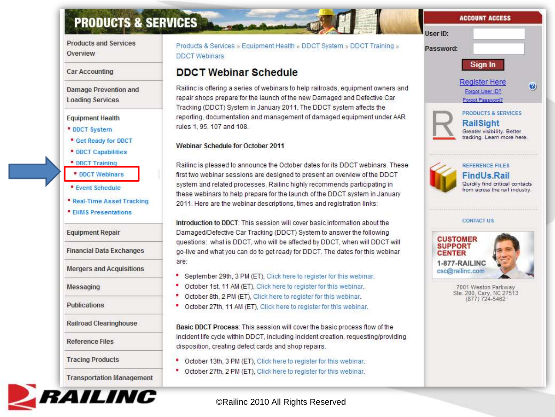#### **PRODUCTS & SERVICES**

**Products and Services** Overview

#### Car Accounting

**Damage Prevention and Loading Services** 

#### **Equipment Health**

- **\* DDCT System**
- " Get Ready for DDCT
- **DDCT Capabilities**
- **DDCT Training**
- **DDCT Webinars**
- **Event Schedule**
- " Real-Time Asset Tracking
- **EHMS Presentations**

**Equipment Repair** 

**Financial Data Exchanges** 

**Mergers and Acquisitions** 

Messaging

Publications

**Railroad Clearinghouse** 

**Reference Files** 

**Tracing Products** 

**Transportation Management** 



#### Products & Services » Equipment Health » DDCT System » DDCT Training » **DDCT** Webinars

#### **DDCT Webinar Schedule**

Railinc is offering a series of webinars to help railroads, equipment owners and repair shops prepare for the launch of the new Damaged and Defective Car Tracking (DDCT) System in January 2011. The DDCT system affects the reporting, documentation and management of damaged equipment under AAR rules 1, 95, 107 and 108.

#### Webinar Schedule for October 2011

Railinc is pleased to announce the October dates for its DDCT webinars. These first two webinar sessions are designed to present an overview of the DDCT system and related processes. Railinc highly recommends participating in these webinars to help prepare for the launch of the DDCT system in January 2011. Here are the webinar descriptions, times and registration links:

Introduction to DDCT: This session will cover basic information about the Damaged/Defective Car Tracking (DDCT) System to answer the following questions: what is DDCT, who will be affected by DDCT, when will DDCT will go-live and what you can do to get ready for DDCT. The dates for this webinar are:

- September 29th, 3 PM (ET), Click here to register for this webinar.
- October 1st, 11 AM (ET), Click here to register for this webinar.
- October 8th, 2 PM (ET), Click here to register for this webinar.
- October 27th, 11 AM (ET), Click here to register for this webinar.

Basic DDCT Process: This session will cover the basic process flow of the incident life cycle within DDCT, including incident creation, requesting/providing disposition, creating defect cards and shop repairs.

- October 13th, 3 PM (ET), Click here to register for this webinar.
- October 27th, 2 PM (ET), Click here to register for this webinar.

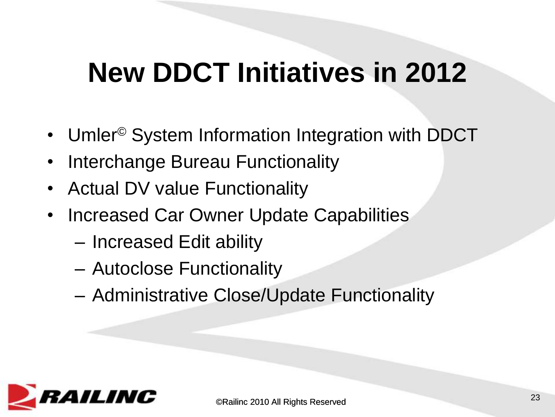#### **New DDCT Initiatives in 2012**

- Umler<sup>®</sup> System Information Integration with DDCT
- Interchange Bureau Functionality
- Actual DV value Functionality
- Increased Car Owner Update Capabilities
	- Increased Edit ability
	- Autoclose Functionality
	- Administrative Close/Update Functionality